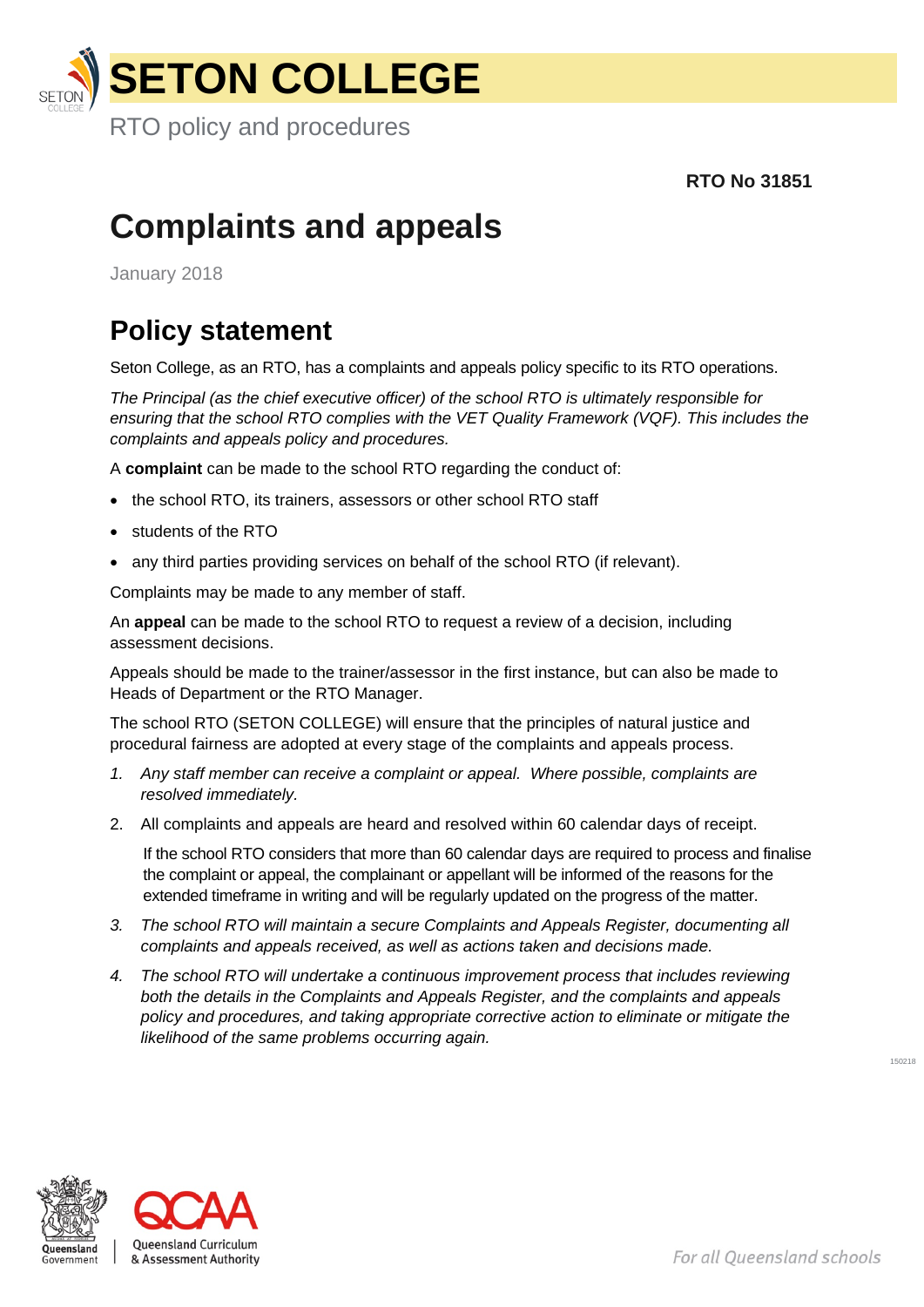

 **RTO No 31851**

## **Complaints and appeals**

January 2018

## **Policy statement**

Seton College, as an RTO, has a complaints and appeals policy specific to its RTO operations.

*The Principal (as the chief executive officer) of the school RTO is ultimately responsible for ensuring that the school RTO complies with the VET Quality Framework (VQF). This includes the complaints and appeals policy and procedures.*

A **complaint** can be made to the school RTO regarding the conduct of:

- the school RTO, its trainers, assessors or other school RTO staff
- students of the RTO
- any third parties providing services on behalf of the school RTO (if relevant).

Complaints may be made to any member of staff.

An **appeal** can be made to the school RTO to request a review of a decision, including assessment decisions.

Appeals should be made to the trainer/assessor in the first instance, but can also be made to Heads of Department or the RTO Manager.

The school RTO (SETON COLLEGE) will ensure that the principles of natural justice and procedural fairness are adopted at every stage of the complaints and appeals process.

- *1. Any staff member can receive a complaint or appeal. Where possible, complaints are resolved immediately.*
- 2. All complaints and appeals are heard and resolved within 60 calendar days of receipt.

If the school RTO considers that more than 60 calendar days are required to process and finalise the complaint or appeal, the complainant or appellant will be informed of the reasons for the extended timeframe in writing and will be regularly updated on the progress of the matter.

- *3. The school RTO will maintain a secure Complaints and Appeals Register, documenting all complaints and appeals received, as well as actions taken and decisions made.*
- *4. The school RTO will undertake a continuous improvement process that includes reviewing both the details in the Complaints and Appeals Register, and the complaints and appeals policy and procedures, and taking appropriate corrective action to eliminate or mitigate the likelihood of the same problems occurring again.*





150218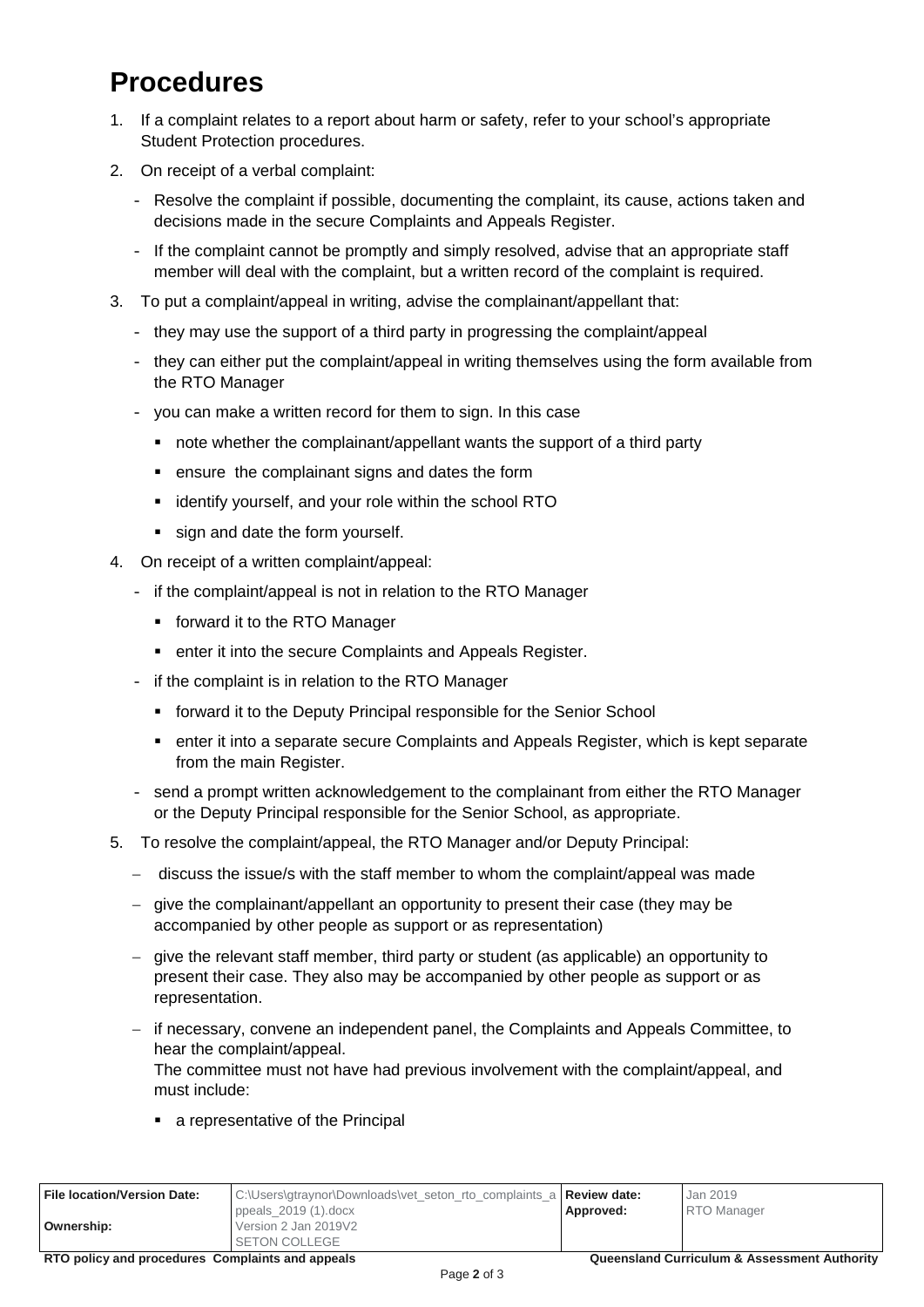## **Procedures**

- 1. If a complaint relates to a report about harm or safety, refer to your school's appropriate Student Protection procedures.
- 2. On receipt of a verbal complaint:
	- Resolve the complaint if possible, documenting the complaint, its cause, actions taken and decisions made in the secure Complaints and Appeals Register.
	- If the complaint cannot be promptly and simply resolved, advise that an appropriate staff member will deal with the complaint, but a written record of the complaint is required.
- 3. To put a complaint/appeal in writing, advise the complainant/appellant that:
	- they may use the support of a third party in progressing the complaint/appeal
	- they can either put the complaint/appeal in writing themselves using the form available from the RTO Manager
	- you can make a written record for them to sign. In this case
		- note whether the complainant/appellant wants the support of a third party
		- ensure the complainant signs and dates the form
		- **E** identify yourself, and your role within the school RTO
		- sign and date the form yourself.
- 4. On receipt of a written complaint/appeal:
	- if the complaint/appeal is not in relation to the RTO Manager
		- **forward it to the RTO Manager**
		- **EXECUTE:** enter it into the secure Complaints and Appeals Register.
	- if the complaint is in relation to the RTO Manager
		- **forward it to the Deputy Principal responsible for the Senior School**
		- enter it into a separate secure Complaints and Appeals Register, which is kept separate from the main Register.
	- send a prompt written acknowledgement to the complainant from either the RTO Manager or the Deputy Principal responsible for the Senior School, as appropriate.
- 5. To resolve the complaint/appeal, the RTO Manager and/or Deputy Principal:
	- − discuss the issue/s with the staff member to whom the complaint/appeal was made
	- − give the complainant/appellant an opportunity to present their case (they may be accompanied by other people as support or as representation)
	- − give the relevant staff member, third party or student (as applicable) an opportunity to present their case. They also may be accompanied by other people as support or as representation.
	- − if necessary, convene an independent panel, the Complaints and Appeals Committee, to hear the complaint/appeal.

The committee must not have had previous involvement with the complaint/appeal, and must include:

■ a representative of the Principal

| File location/Version Date: | C:\Users\gtraynor\Downloads\vet_seton_rto_complaints_a   Review date:   |           | Jan 2019           |
|-----------------------------|-------------------------------------------------------------------------|-----------|--------------------|
| Ownership:                  | ppeals_2019 $(1).$ docx<br>Version 2 Jan 2019V2<br><b>SETON COLLEGE</b> | Approved: | <b>RTO</b> Manager |